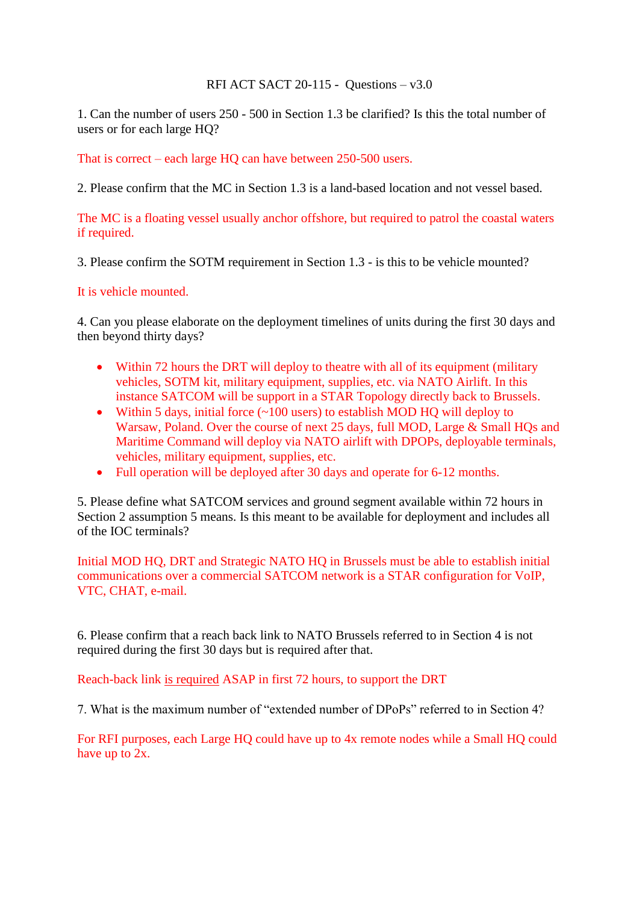RFI ACT SACT 20-115 - Questions – v3.0

1. Can the number of users 250 - 500 in Section 1.3 be clarified? Is this the total number of users or for each large HQ?

That is correct – each large HQ can have between 250-500 users.

2. Please confirm that the MC in Section 1.3 is a land-based location and not vessel based.

The MC is a floating vessel usually anchor offshore, but required to patrol the coastal waters if required.

3. Please confirm the SOTM requirement in Section 1.3 - is this to be vehicle mounted?

It is vehicle mounted.

4. Can you please elaborate on the deployment timelines of units during the first 30 days and then beyond thirty days?

- Within 72 hours the DRT will deploy to theatre with all of its equipment (military vehicles, SOTM kit, military equipment, supplies, etc. via NATO Airlift. In this instance SATCOM will be support in a STAR Topology directly back to Brussels.
- Within 5 days, initial force  $(\sim 100 \text{ users})$  to establish MOD HQ will deploy to Warsaw, Poland. Over the course of next 25 days, full MOD, Large & Small HQs and Maritime Command will deploy via NATO airlift with DPOPs, deployable terminals, vehicles, military equipment, supplies, etc.
- Full operation will be deployed after 30 days and operate for 6-12 months.

5. Please define what SATCOM services and ground segment available within 72 hours in Section 2 assumption 5 means. Is this meant to be available for deployment and includes all of the IOC terminals?

Initial MOD HQ, DRT and Strategic NATO HQ in Brussels must be able to establish initial communications over a commercial SATCOM network is a STAR configuration for VoIP, VTC, CHAT, e-mail.

6. Please confirm that a reach back link to NATO Brussels referred to in Section 4 is not required during the first 30 days but is required after that.

Reach-back link is required ASAP in first 72 hours, to support the DRT

7. What is the maximum number of "extended number of DPoPs" referred to in Section 4?

For RFI purposes, each Large HQ could have up to 4x remote nodes while a Small HQ could have up to 2x.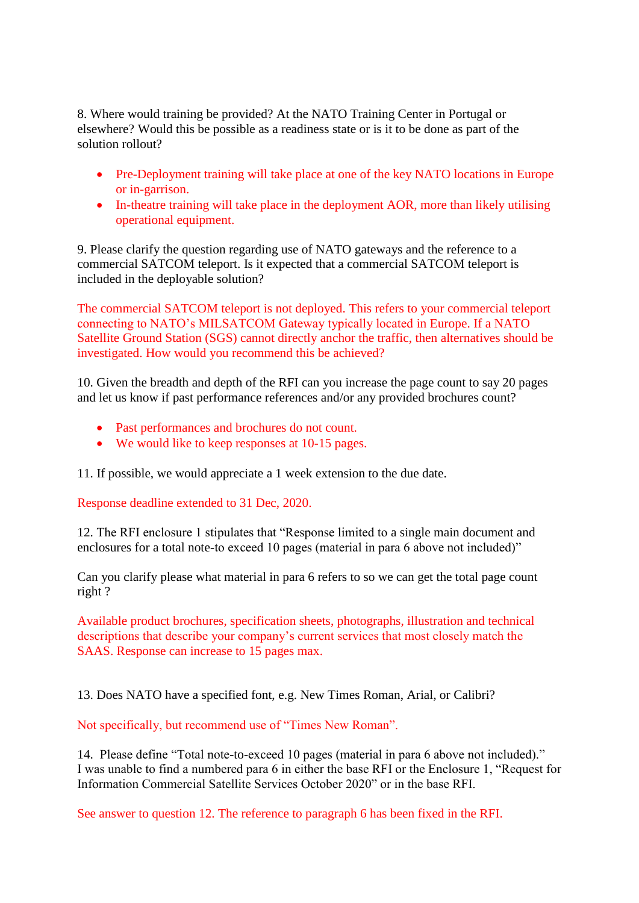8. Where would training be provided? At the NATO Training Center in Portugal or elsewhere? Would this be possible as a readiness state or is it to be done as part of the solution rollout?

- Pre-Deployment training will take place at one of the key NATO locations in Europe or in-garrison.
- In-theatre training will take place in the deployment AOR, more than likely utilising operational equipment.

9. Please clarify the question regarding use of NATO gateways and the reference to a commercial SATCOM teleport. Is it expected that a commercial SATCOM teleport is included in the deployable solution?

The commercial SATCOM teleport is not deployed. This refers to your commercial teleport connecting to NATO's MILSATCOM Gateway typically located in Europe. If a NATO Satellite Ground Station (SGS) cannot directly anchor the traffic, then alternatives should be investigated. How would you recommend this be achieved?

10. Given the breadth and depth of the RFI can you increase the page count to say 20 pages and let us know if past performance references and/or any provided brochures count?

- Past performances and brochures do not count.
- We would like to keep responses at 10-15 pages.

11. If possible, we would appreciate a 1 week extension to the due date.

Response deadline extended to 31 Dec, 2020.

12. The RFI enclosure 1 stipulates that "Response limited to a single main document and enclosures for a total note-to exceed 10 pages (material in para 6 above not included)"

Can you clarify please what material in para 6 refers to so we can get the total page count right ?

Available product brochures, specification sheets, photographs, illustration and technical descriptions that describe your company's current services that most closely match the SAAS. Response can increase to 15 pages max.

13. Does NATO have a specified font, e.g. New Times Roman, Arial, or Calibri?

Not specifically, but recommend use of "Times New Roman".

14. Please define "Total note-to-exceed 10 pages (material in para 6 above not included)." I was unable to find a numbered para 6 in either the base RFI or the Enclosure 1, "Request for Information Commercial Satellite Services October 2020" or in the base RFI.

See answer to question 12. The reference to paragraph 6 has been fixed in the RFI.